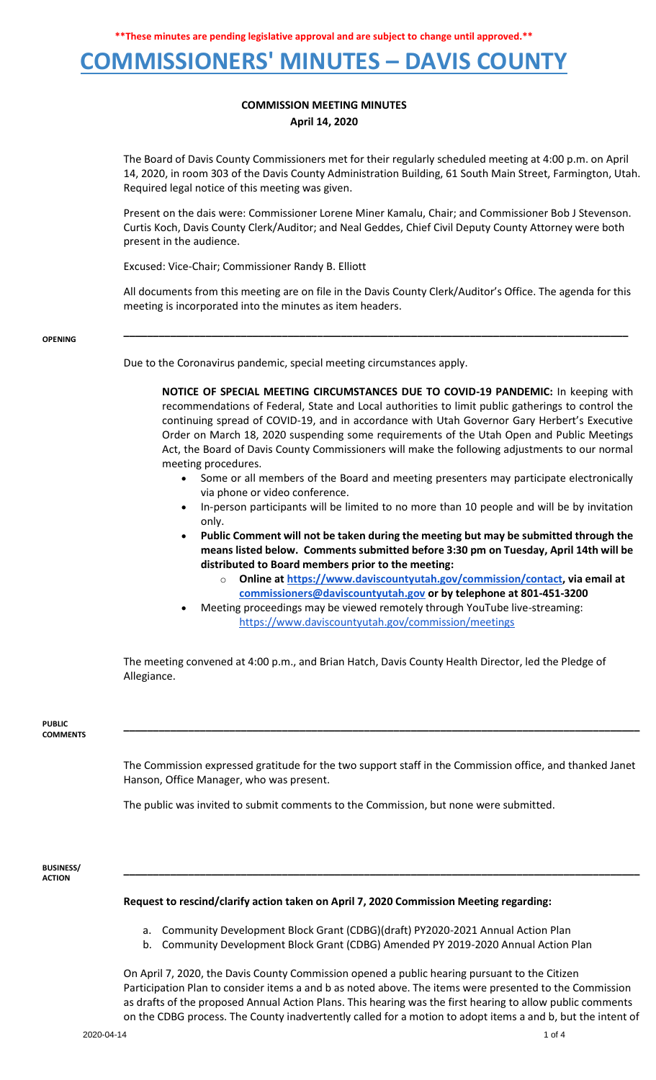

### **COMMISSION MEETING MINUTES April 14, 2020**

The Board of Davis County Commissioners met for their regularly scheduled meeting at 4:00 p.m. on April 14, 2020, in room 303 of the Davis County Administration Building, 61 South Main Street, Farmington, Utah. Required legal notice of this meeting was given.

Present on the dais were: Commissioner Lorene Miner Kamalu, Chair; and Commissioner Bob J Stevenson. Curtis Koch, Davis County Clerk/Auditor; and Neal Geddes, Chief Civil Deputy County Attorney were both present in the audience.

Excused: Vice-Chair; Commissioner Randy B. Elliott

All documents from this meeting are on file in the Davis County Clerk/Auditor's Office. The agenda for this meeting is incorporated into the minutes as item headers.

**\_\_\_\_\_\_\_\_\_\_\_\_\_\_\_\_\_\_\_\_\_\_\_\_\_\_\_\_\_\_\_\_\_\_\_\_\_\_\_\_\_\_\_\_\_\_\_\_\_\_\_\_\_\_\_\_\_\_\_\_\_\_\_\_\_\_\_\_\_\_\_\_\_\_\_\_\_\_\_\_\_\_\_\_\_\_**

#### **OPENING**

Due to the Coronavirus pandemic, special meeting circumstances apply.

**NOTICE OF SPECIAL MEETING CIRCUMSTANCES DUE TO COVID-19 PANDEMIC:** In keeping with recommendations of Federal, State and Local authorities to limit public gatherings to control the continuing spread of COVID-19, and in accordance with Utah Governor Gary Herbert's Executive Order on March 18, 2020 suspending some requirements of the Utah Open and Public Meetings Act, the Board of Davis County Commissioners will make the following adjustments to our normal meeting procedures.

- Some or all members of the Board and meeting presenters may participate electronically via phone or video conference.
- In-person participants will be limited to no more than 10 people and will be by invitation only.
- **Public Comment will not be taken during the meeting but may be submitted through the means listed below. Comments submitted before 3:30 pm on Tuesday, April 14th will be distributed to Board members prior to the meeting:**
	- o **Online a[t https://www.daviscountyutah.gov/commission/contact,](https://www.daviscountyutah.gov/commission/contact) via email at [commissioners@daviscountyutah.gov](mailto:commissioners@daviscountyutah.gov) or by telephone at 801-451-3200**
- Meeting proceedings may be viewed remotely through YouTube live-streaming: <https://www.daviscountyutah.gov/commission/meetings>

The meeting convened at 4:00 p.m., and Brian Hatch, Davis County Health Director, led the Pledge of Allegiance.

#### **PUBLIC COMMENTS**

The Commission expressed gratitude for the two support staff in the Commission office, and thanked Janet Hanson, Office Manager, who was present.

**\_\_\_\_\_\_\_\_\_\_\_\_\_\_\_\_\_\_\_\_\_\_\_\_\_\_\_\_\_\_\_\_\_\_\_\_\_\_\_\_\_\_\_\_\_\_\_\_\_\_\_\_\_\_\_\_\_\_\_\_\_\_\_\_\_\_\_\_\_\_\_\_\_\_\_\_\_\_\_\_\_\_\_\_\_\_\_\_**

**\_\_\_\_\_\_\_\_\_\_\_\_\_\_\_\_\_\_\_\_\_\_\_\_\_\_\_\_\_\_\_\_\_\_\_\_\_\_\_\_\_\_\_\_\_\_\_\_\_\_\_\_\_\_\_\_\_\_\_\_\_\_\_\_\_\_\_\_\_\_\_\_\_\_\_\_\_\_\_\_\_\_\_\_\_\_\_\_**

The public was invited to submit comments to the Commission, but none were submitted.

**BUSINESS/ ACTION**

### **Request to rescind/clarify action taken on April 7, 2020 Commission Meeting regarding:**

- a. Community Development Block Grant (CDBG)(draft) PY2020-2021 Annual Action Plan
- b. Community Development Block Grant (CDBG) Amended PY 2019-2020 Annual Action Plan

On April 7, 2020, the Davis County Commission opened a public hearing pursuant to the Citizen Participation Plan to consider items a and b as noted above. The items were presented to the Commission as drafts of the proposed Annual Action Plans. This hearing was the first hearing to allow public comments on the CDBG process. The County inadvertently called for a motion to adopt items a and b, but the intent of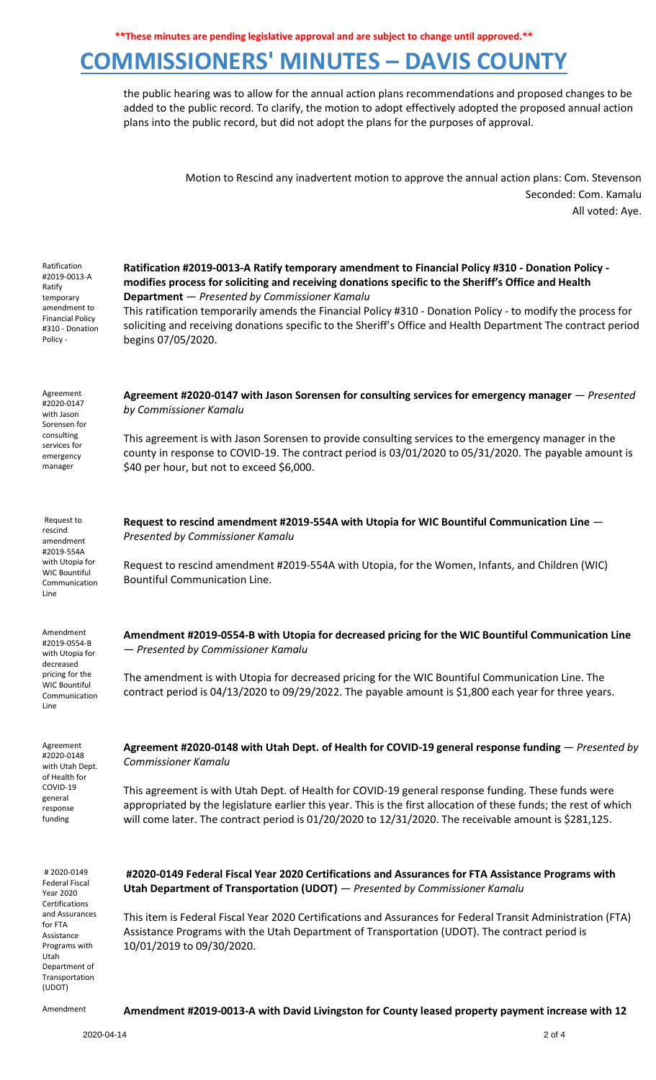## **COMMISSIONERS' MINUTES – DAVIS COUNTY**

the public hearing was to allow for the annual action plans recommendations and proposed changes to be added to the public record. To clarify, the motion to adopt effectively adopted the proposed annual action plans into the public record, but did not adopt the plans for the purposes of approval.

> Motion to Rescind any inadvertent motion to approve the annual action plans: Com. Stevenson Seconded: Com. Kamalu All voted: Aye.

| Ratification<br>#2019-0013-A<br>Ratify<br>temporary<br>amendment to<br><b>Financial Policy</b><br>#310 - Donation<br>Policy -                                                | Ratification #2019-0013-A Ratify temporary amendment to Financial Policy #310 - Donation Policy -<br>modifies process for soliciting and receiving donations specific to the Sheriff's Office and Health<br>Department - Presented by Commissioner Kamalu<br>This ratification temporarily amends the Financial Policy #310 - Donation Policy - to modify the process for<br>soliciting and receiving donations specific to the Sheriff's Office and Health Department The contract period<br>begins 07/05/2020. |
|------------------------------------------------------------------------------------------------------------------------------------------------------------------------------|------------------------------------------------------------------------------------------------------------------------------------------------------------------------------------------------------------------------------------------------------------------------------------------------------------------------------------------------------------------------------------------------------------------------------------------------------------------------------------------------------------------|
| Agreement<br>#2020-0147<br>with Jason<br>Sorensen for<br>consulting<br>services for<br>emergency<br>manager                                                                  | Agreement #2020-0147 with Jason Sorensen for consulting services for emergency manager – Presented<br>by Commissioner Kamalu<br>This agreement is with Jason Sorensen to provide consulting services to the emergency manager in the<br>county in response to COVID-19. The contract period is 03/01/2020 to 05/31/2020. The payable amount is<br>\$40 per hour, but not to exceed \$6,000.                                                                                                                      |
| Request to<br>rescind<br>amendment<br>#2019-554A<br>with Utopia for<br><b>WIC Bountiful</b><br>Communication<br>Line                                                         | Request to rescind amendment #2019-554A with Utopia for WIC Bountiful Communication Line -<br>Presented by Commissioner Kamalu<br>Request to rescind amendment #2019-554A with Utopia, for the Women, Infants, and Children (WIC)<br><b>Bountiful Communication Line.</b>                                                                                                                                                                                                                                        |
| Amendment<br>#2019-0554-B<br>with Utopia for<br>decreased<br>pricing for the<br><b>WIC Bountiful</b><br>Communication<br>Line                                                | Amendment #2019-0554-B with Utopia for decreased pricing for the WIC Bountiful Communication Line<br>- Presented by Commissioner Kamalu<br>The amendment is with Utopia for decreased pricing for the WIC Bountiful Communication Line. The<br>contract period is 04/13/2020 to 09/29/2022. The payable amount is \$1,800 each year for three years.                                                                                                                                                             |
| Agreement<br>#2020-0148<br>with Utah Dept.<br>of Health for<br>COVID-19<br>general<br>response<br>funding                                                                    | Agreement #2020-0148 with Utah Dept. of Health for COVID-19 general response funding - Presented by<br><b>Commissioner Kamalu</b><br>This agreement is with Utah Dept. of Health for COVID-19 general response funding. These funds were<br>appropriated by the legislature earlier this year. This is the first allocation of these funds; the rest of which<br>will come later. The contract period is 01/20/2020 to 12/31/2020. The receivable amount is \$281,125.                                           |
| #2020-0149<br>Federal Fiscal<br>Year 2020<br>Certifications<br>and Assurances<br>for FTA<br>Assistance<br>Programs with<br>Utah<br>Department of<br>Transportation<br>(UDOT) | #2020-0149 Federal Fiscal Year 2020 Certifications and Assurances for FTA Assistance Programs with<br><b>Utah Department of Transportation (UDOT)</b> - Presented by Commissioner Kamalu<br>This item is Federal Fiscal Year 2020 Certifications and Assurances for Federal Transit Administration (FTA)<br>Assistance Programs with the Utah Department of Transportation (UDOT). The contract period is<br>10/01/2019 to 09/30/2020.                                                                           |
| Amendment                                                                                                                                                                    | Amendment #2019-0013-A with David Livingston for County leased property payment increase with 12                                                                                                                                                                                                                                                                                                                                                                                                                 |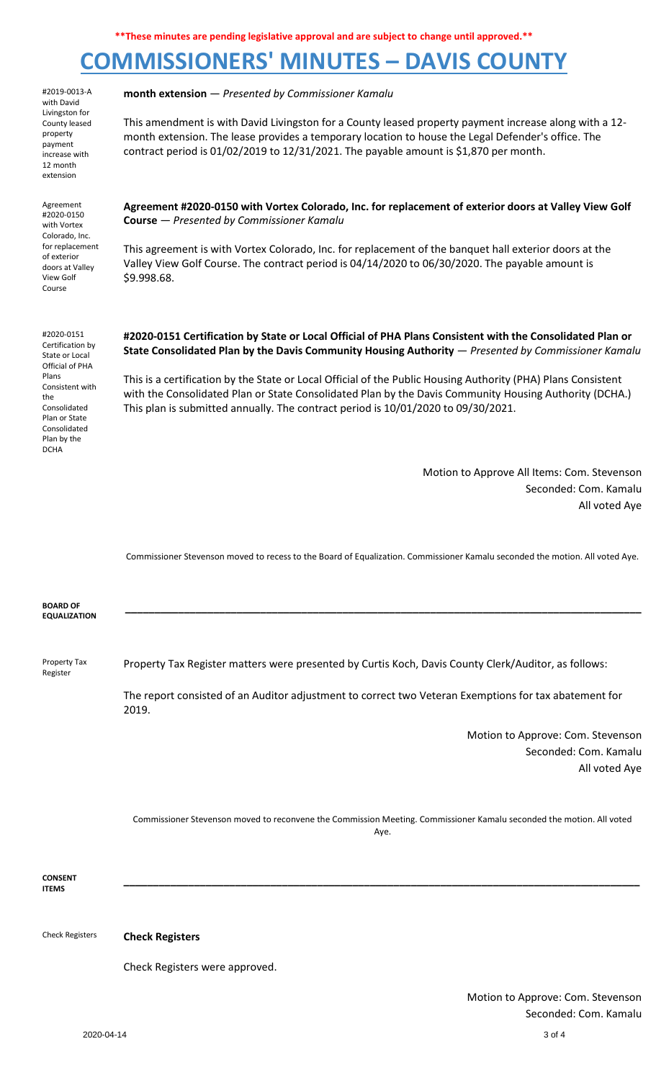# **COMMISSIONERS' MINUTES – DAVIS COUNTY**

 $2020-04-14$  3 of 4 #2019-0013-A with David Livingston for County leased property payment increase with 12 month extension **month extension** — *Presented by Commissioner Kamalu* This amendment is with David Livingston for a County leased property payment increase along with a 12 month extension. The lease provides a temporary location to house the Legal Defender's office. The contract period is 01/02/2019 to 12/31/2021. The payable amount is \$1,870 per month. Agreement #2020-0150 with Vortex Colorado, Inc. for replacement of exterior doors at Valley View Golf Course **Agreement #2020-0150 with Vortex Colorado, Inc. for replacement of exterior doors at Valley View Golf Course** — *Presented by Commissioner Kamalu* This agreement is with Vortex Colorado, Inc. for replacement of the banquet hall exterior doors at the Valley View Golf Course. The contract period is 04/14/2020 to 06/30/2020. The payable amount is \$9.998.68. #2020-0151 Certification by State or Local Official of PHA Plans Consistent with the Consolidated Plan or State Consolidated Plan by the DCHA **#2020-0151 Certification by State or Local Official of PHA Plans Consistent with the Consolidated Plan or State Consolidated Plan by the Davis Community Housing Authority** — *Presented by Commissioner Kamalu* This is a certification by the State or Local Official of the Public Housing Authority (PHA) Plans Consistent with the Consolidated Plan or State Consolidated Plan by the Davis Community Housing Authority (DCHA.) This plan is submitted annually. The contract period is 10/01/2020 to 09/30/2021. Motion to Approve All Items: Com. Stevenson Seconded: Com. Kamalu All voted Aye Commissioner Stevenson moved to recess to the Board of Equalization. Commissioner Kamalu seconded the motion. All voted Aye. **BOARD OF EQUALIZATION \_\_\_\_\_\_\_\_\_\_\_\_\_\_\_\_\_\_\_\_\_\_\_\_\_\_\_\_\_\_\_\_\_\_\_\_\_\_\_\_\_\_\_\_\_\_\_\_\_\_\_\_\_\_\_\_\_\_\_\_\_\_\_\_\_\_\_\_\_\_\_\_\_\_\_\_\_\_\_\_\_\_\_\_\_\_\_\_** Property Tax Register Property Tax Register matters were presented by Curtis Koch, Davis County Clerk/Auditor, as follows: The report consisted of an Auditor adjustment to correct two Veteran Exemptions for tax abatement for 2019. Motion to Approve: Com. Stevenson Seconded: Com. Kamalu All voted Aye Commissioner Stevenson moved to reconvene the Commission Meeting. Commissioner Kamalu seconded the motion. All voted Aye. **CONSENT ITEMS \_\_\_\_\_\_\_\_\_\_\_\_\_\_\_\_\_\_\_\_\_\_\_\_\_\_\_\_\_\_\_\_\_\_\_\_\_\_\_\_\_\_\_\_\_\_\_\_\_\_\_\_\_\_\_\_\_\_\_\_\_\_\_\_\_\_\_\_\_\_\_\_\_\_\_\_\_\_\_\_\_\_\_\_\_\_\_\_** Check Registers **Check Registers** Check Registers were approved. Motion to Approve: Com. Stevenson Seconded: Com. Kamalu